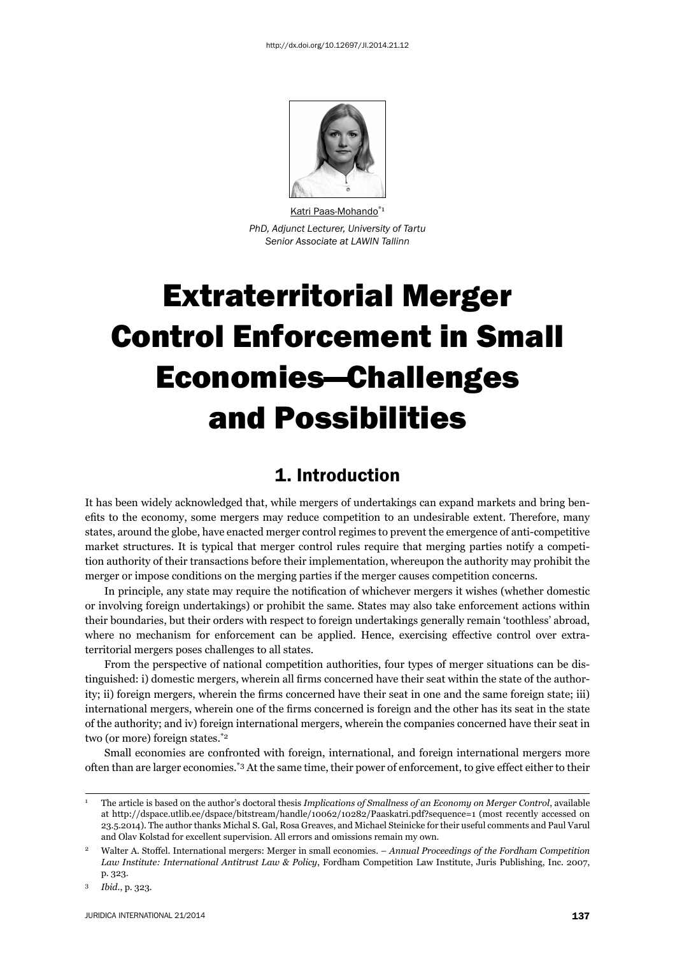

Katri Paas-Mohando<sup>\*1</sup> *PhD, Adjunct Lecturer, University of Tartu Senior Associate at LAWIN Tallinn*

# Extraterritorial Merger Control Enforcement in Small Economies—Challenges and Possibilities

# 1. Introduction

It has been widely acknowledged that, while mergers of undertakings can expand markets and bring benefits to the economy, some mergers may reduce competition to an undesirable extent. Therefore, many states, around the globe, have enacted merger control regimes to prevent the emergence of anti-competitive market structures. It is typical that merger control rules require that merging parties notify a competition authority of their transactions before their implementation, whereupon the authority may prohibit the merger or impose conditions on the merging parties if the merger causes competition concerns.

In principle, any state may require the notification of whichever mergers it wishes (whether domestic or involving foreign undertakings) or prohibit the same. States may also take enforcement actions within their boundaries, but their orders with respect to foreign undertakings generally remain 'toothless' abroad, where no mechanism for enforcement can be applied. Hence, exercising effective control over extraterritorial mergers poses challenges to all states.

From the perspective of national competition authorities, four types of merger situations can be distinguished: i) domestic mergers, wherein all firms concerned have their seat within the state of the authority; ii) foreign mergers, wherein the firms concerned have their seat in one and the same foreign state; iii) international mergers, wherein one of the firms concerned is foreign and the other has its seat in the state of the authority; and iv) foreign international mergers, wherein the companies concerned have their seat in two (or more) foreign states.\*2

Small economies are confronted with foreign, international, and foreign international mergers more often than are larger economies.\*3 At the same time, their power of enforcement, to give effect either to their

<sup>1</sup> The article is based on the author's doctoral thesis *Implications of Smallness of an Economy on Merger Control*, available at http://dspace.utlib.ee/dspace/bitstream/handle/10062/10282/Paaskatri.pdf?sequence=1 (most recently accessed on 23.5.2014). The author thanks Michal S. Gal, Rosa Greaves, and Michael Steinicke for their useful comments and Paul Varul and Olav Kolstad for excellent supervision. All errors and omissions remain my own.

<sup>2</sup> Walter A. Stoffel. International mergers: Merger in small economies. – *Annual Proceedings of the Fordham Competition Law Institute: International Antitrust Law & Policy*, Fordham Competition Law Institute, Juris Publishing, Inc. 2007, p. 323.

<sup>3</sup> *Ibid*., p. 323*.*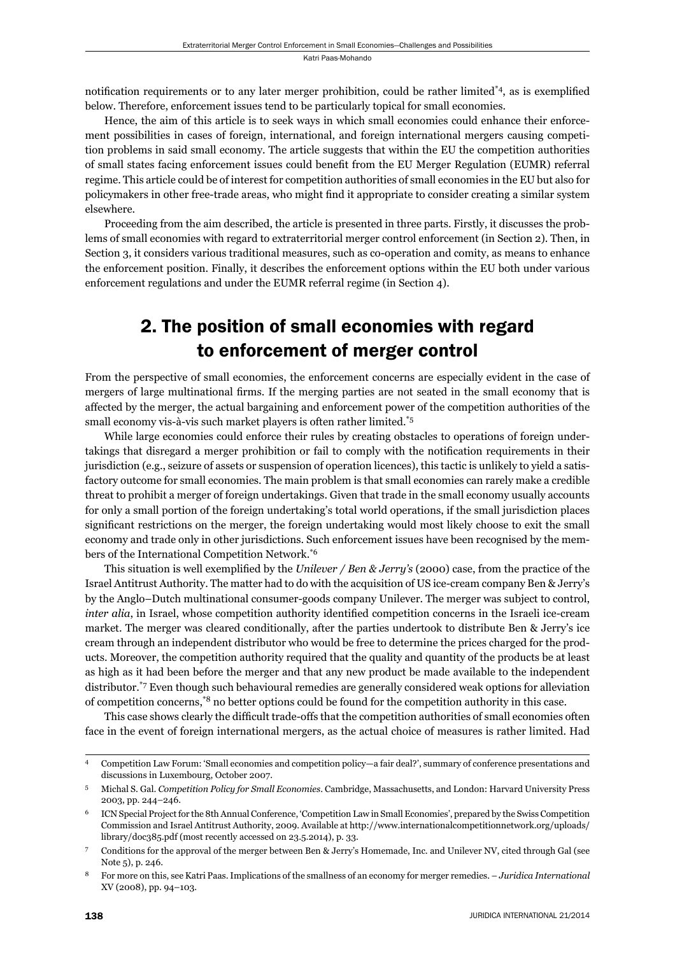notification requirements or to any later merger prohibition, could be rather limited\*4, as is exemplified below. Therefore, enforcement issues tend to be particularly topical for small economies.

Hence, the aim of this article is to seek ways in which small economies could enhance their enforcement possibilities in cases of foreign, international, and foreign international mergers causing competition problems in said small economy. The article suggests that within the EU the competition authorities of small states facing enforcement issues could benefi t from the EU Merger Regulation (EUMR) referral regime. This article could be of interest for competition authorities of small economies in the EU but also for policymakers in other free-trade areas, who might find it appropriate to consider creating a similar system elsewhere.

Proceeding from the aim described, the article is presented in three parts. Firstly, it discusses the problems of small economies with regard to extraterritorial merger control enforcement (in Section 2). Then, in Section 3, it considers various traditional measures, such as co-operation and comity, as means to enhance the enforcement position. Finally, it describes the enforcement options within the EU both under various enforcement regulations and under the EUMR referral regime (in Section 4).

# 2. The position of small economies with regard to enforcement of merger control

From the perspective of small economies, the enforcement concerns are especially evident in the case of mergers of large multinational firms. If the merging parties are not seated in the small economy that is affected by the merger, the actual bargaining and enforcement power of the competition authorities of the small economy vis-à-vis such market players is often rather limited.<sup>\*5</sup>

While large economies could enforce their rules by creating obstacles to operations of foreign undertakings that disregard a merger prohibition or fail to comply with the notification requirements in their jurisdiction (e.g., seizure of assets or suspension of operation licences), this tactic is unlikely to yield a satisfactory outcome for small economies. The main problem is that small economies can rarely make a credible threat to prohibit a merger of foreign undertakings. Given that trade in the small economy usually accounts for only a small portion of the foreign undertaking's total world operations, if the small jurisdiction places significant restrictions on the merger, the foreign undertaking would most likely choose to exit the small economy and trade only in other jurisdictions. Such enforcement issues have been recognised by the members of the International Competition Network.\*6

This situation is well exemplified by the *Unilever / Ben & Jerry's* (2000) case, from the practice of the Israel Antitrust Authority. The matter had to do with the acquisition of US ice-cream company Ben & Jerry's by the Anglo–Dutch multinational consumer-goods company Unilever. The merger was subject to control, *inter alia*, in Israel, whose competition authority identified competition concerns in the Israeli ice-cream market. The merger was cleared conditionally, after the parties undertook to distribute Ben & Jerry's ice cream through an independent distributor who would be free to determine the prices charged for the products. Moreover, the competition authority required that the quality and quantity of the products be at least as high as it had been before the merger and that any new product be made available to the independent distributor.\*7 Even though such behavioural remedies are generally considered weak options for alleviation of competition concerns,\*8 no better options could be found for the competition authority in this case.

This case shows clearly the difficult trade-offs that the competition authorities of small economies often face in the event of foreign international mergers, as the actual choice of measures is rather limited. Had

<sup>4</sup> Competition Law Forum: 'Small economies and competition policy—a fair deal?', summary of conference presentations and discussions in Luxembourg, October 2007.

<sup>5</sup> Michal S. Gal. *Competition Policy for Small Economies*. Cambridge, Massachusetts, and London: Harvard University Press 2003, pp. 244–246.

<sup>6</sup> ICN Special Project for the 8th Annual Conference, 'Competition Law in Small Economies', prepared by the Swiss Competition Commission and Israel Antitrust Authority, 2009. Available at http://www.internationalcompetitionnetwork.org/uploads/ library/doc385.pdf (most recently accessed on 23.5.2014), p. 33.

<sup>7</sup> Conditions for the approval of the merger between Ben & Jerry's Homemade, Inc. and Unilever NV, cited through Gal (see Note 5), p. 246.

<sup>8</sup> For more on this, see Katri Paas. Implications of the smallness of an economy for merger remedies. – *Juridica International* XV (2008), pp. 94–103.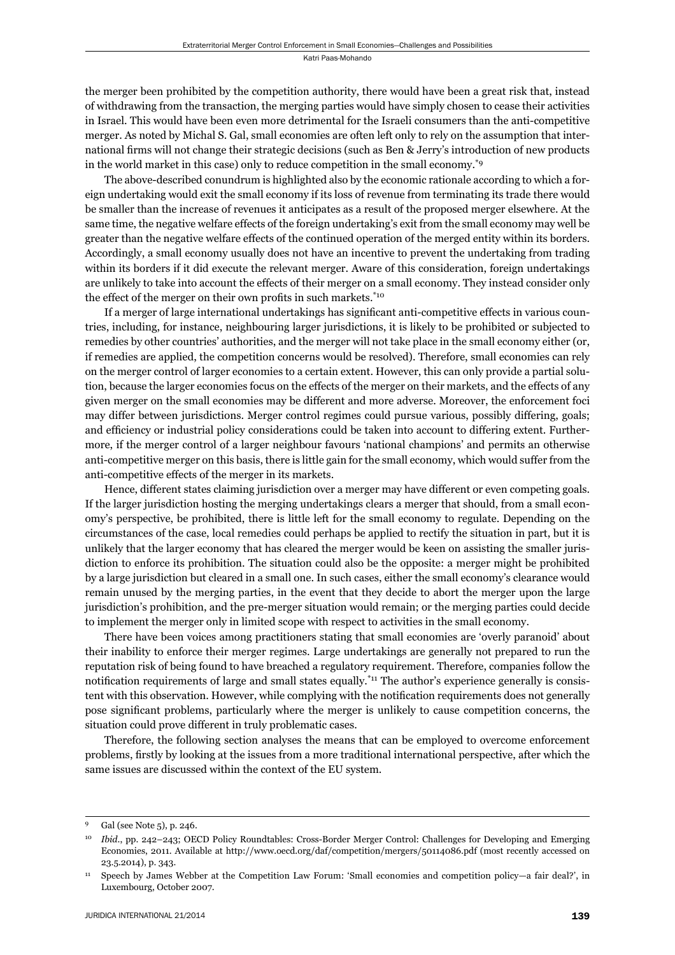the merger been prohibited by the competition authority, there would have been a great risk that, instead of withdrawing from the transaction, the merging parties would have simply chosen to cease their activities in Israel. This would have been even more detrimental for the Israeli consumers than the anti-competitive merger. As noted by Michal S. Gal, small economies are often left only to rely on the assumption that international firms will not change their strategic decisions (such as Ben & Jerry's introduction of new products in the world market in this case) only to reduce competition in the small economy.\*9

The above-described conundrum is highlighted also by the economic rationale according to which a foreign undertaking would exit the small economy if its loss of revenue from terminating its trade there would be smaller than the increase of revenues it anticipates as a result of the proposed merger elsewhere. At the same time, the negative welfare effects of the foreign undertaking's exit from the small economy may well be greater than the negative welfare effects of the continued operation of the merged entity within its borders. Accordingly, a small economy usually does not have an incentive to prevent the undertaking from trading within its borders if it did execute the relevant merger. Aware of this consideration, foreign undertakings are unlikely to take into account the effects of their merger on a small economy. They instead consider only the effect of the merger on their own profits in such markets. $*$ <sup>10</sup>

If a merger of large international undertakings has significant anti-competitive effects in various countries, including, for instance, neighbouring larger jurisdictions, it is likely to be prohibited or subjected to remedies by other countries' authorities, and the merger will not take place in the small economy either (or, if remedies are applied, the competition concerns would be resolved). Therefore, small economies can rely on the merger control of larger economies to a certain extent. However, this can only provide a partial solution, because the larger economies focus on the effects of the merger on their markets, and the effects of any given merger on the small economies may be different and more adverse. Moreover, the enforcement foci may differ between jurisdictions. Merger control regimes could pursue various, possibly differing, goals; and efficiency or industrial policy considerations could be taken into account to differing extent. Furthermore, if the merger control of a larger neighbour favours 'national champions' and permits an otherwise anti-competitive merger on this basis, there is little gain for the small economy, which would suffer from the anti-competitive effects of the merger in its markets.

Hence, different states claiming jurisdiction over a merger may have different or even competing goals. If the larger jurisdiction hosting the merging undertakings clears a merger that should, from a small economy's perspective, be prohibited, there is little left for the small economy to regulate. Depending on the circumstances of the case, local remedies could perhaps be applied to rectify the situation in part, but it is unlikely that the larger economy that has cleared the merger would be keen on assisting the smaller jurisdiction to enforce its prohibition. The situation could also be the opposite: a merger might be prohibited by a large jurisdiction but cleared in a small one. In such cases, either the small economy's clearance would remain unused by the merging parties, in the event that they decide to abort the merger upon the large jurisdiction's prohibition, and the pre-merger situation would remain; or the merging parties could decide to implement the merger only in limited scope with respect to activities in the small economy.

There have been voices among practitioners stating that small economies are 'overly paranoid' about their inability to enforce their merger regimes. Large undertakings are generally not prepared to run the reputation risk of being found to have breached a regulatory requirement. Therefore, companies follow the notification requirements of large and small states equally.<sup>\*11</sup> The author's experience generally is consistent with this observation. However, while complying with the notification requirements does not generally pose significant problems, particularly where the merger is unlikely to cause competition concerns, the situation could prove different in truly problematic cases.

Therefore, the following section analyses the means that can be employed to overcome enforcement problems, fi rstly by looking at the issues from a more traditional international perspective, after which the same issues are discussed within the context of the EU system.

Gal (see Note 5), p. 246.

<sup>10</sup> *Ibid*., pp. 242–243; OECD Policy Roundtables: Cross-Border Merger Control: Challenges for Developing and Emerging Economies, 2011. Available at http://www.oecd.org/daf/competition/mergers/50114086.pdf (most recently accessed on 23.5.2014), p. 343.

<sup>11</sup> Speech by James Webber at the Competition Law Forum: 'Small economies and competition policy—a fair deal?', in Luxembourg, October 2007.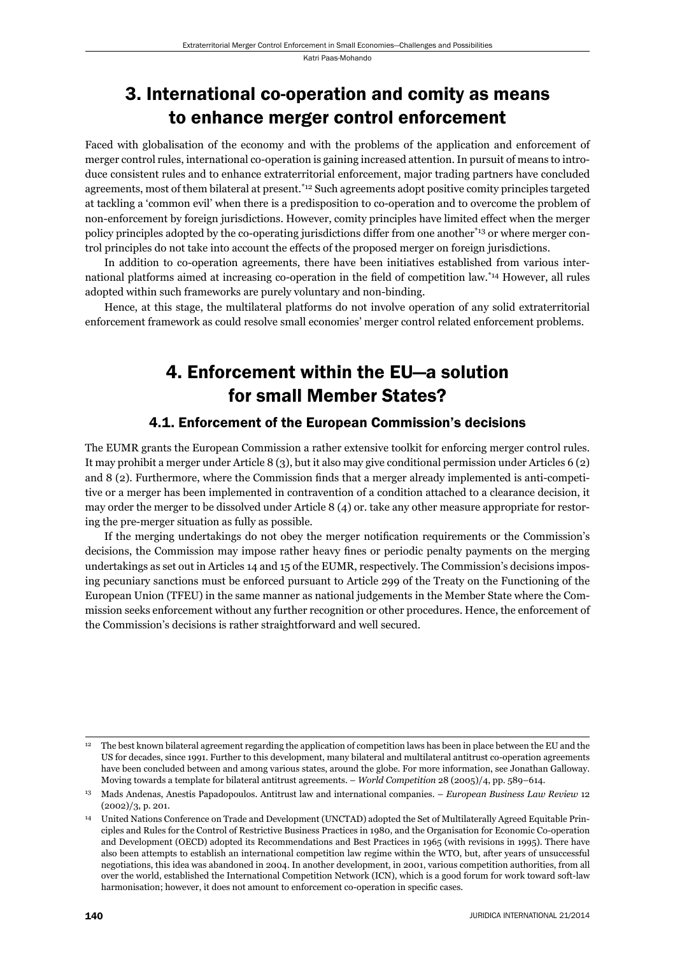# 3. International co-operation and comity as means to enhance merger control enforcement

Faced with globalisation of the economy and with the problems of the application and enforcement of merger control rules, international co-operation is gaining increased attention. In pursuit of means to introduce consistent rules and to enhance extraterritorial enforcement, major trading partners have concluded agreements, most of them bilateral at present.\*12 Such agreements adopt positive comity principles targeted at tackling a 'common evil' when there is a predisposition to co-operation and to overcome the problem of non-enforcement by foreign jurisdictions. However, comity principles have limited effect when the merger policy principles adopted by the co-operating jurisdictions differ from one another\*13 or where merger control principles do not take into account the effects of the proposed merger on foreign jurisdictions.

In addition to co-operation agreements, there have been initiatives established from various international platforms aimed at increasing co-operation in the field of competition law.<sup>\*14</sup> However, all rules adopted within such frameworks are purely voluntary and non-binding.

Hence, at this stage, the multilateral platforms do not involve operation of any solid extraterritorial enforcement framework as could resolve small economies' merger control related enforcement problems.

# 4. Enforcement within the EU—a solution for small Member States?

## 4.1. Enforcement of the European Commission's decisions

The EUMR grants the European Commission a rather extensive toolkit for enforcing merger control rules. It may prohibit a merger under Article 8 (3), but it also may give conditional permission under Articles 6 (2) and 8 (2). Furthermore, where the Commission finds that a merger already implemented is anti-competitive or a merger has been implemented in contravention of a condition attached to a clearance decision, it may order the merger to be dissolved under Article 8 (4) or. take any other measure appropriate for restoring the pre-merger situation as fully as possible.

If the merging undertakings do not obey the merger notification requirements or the Commission's decisions, the Commission may impose rather heavy fines or periodic penalty payments on the merging undertakings as set out in Articles 14 and 15 of the EUMR, respectively. The Commission's decisions imposing pecuniary sanctions must be enforced pursuant to Article 299 of the Treaty on the Functioning of the European Union (TFEU) in the same manner as national judgements in the Member State where the Commission seeks enforcement without any further recognition or other procedures. Hence, the enforcement of the Commission's decisions is rather straightforward and well secured.

<sup>12</sup> The best known bilateral agreement regarding the application of competition laws has been in place between the EU and the US for decades, since 1991. Further to this development, many bilateral and multilateral antitrust co-operation agreements have been concluded between and among various states, around the globe. For more information, see Jonathan Galloway. Moving towards a template for bilateral antitrust agreements. – *World Competition* 28 (2005)/4, pp. 589–614.

<sup>13</sup> Mads Andenas, Anestis Papadopoulos. Antitrust law and international companies. – *European Business Law Review* 12 (2002)/3, p. 201.

<sup>14</sup> United Nations Conference on Trade and Development (UNCTAD) adopted the Set of Multilaterally Agreed Equitable Principles and Rules for the Control of Restrictive Business Practices in 1980, and the Organisation for Economic Co-operation and Development (OECD) adopted its Recommendations and Best Practices in 1965 (with revisions in 1995). There have also been attempts to establish an international competition law regime within the WTO, but, after years of unsuccessful negotiations, this idea was abandoned in 2004. In another development, in 2001, various competition authorities, from all over the world, established the International Competition Network (ICN), which is a good forum for work toward soft-law harmonisation; however, it does not amount to enforcement co-operation in specific cases.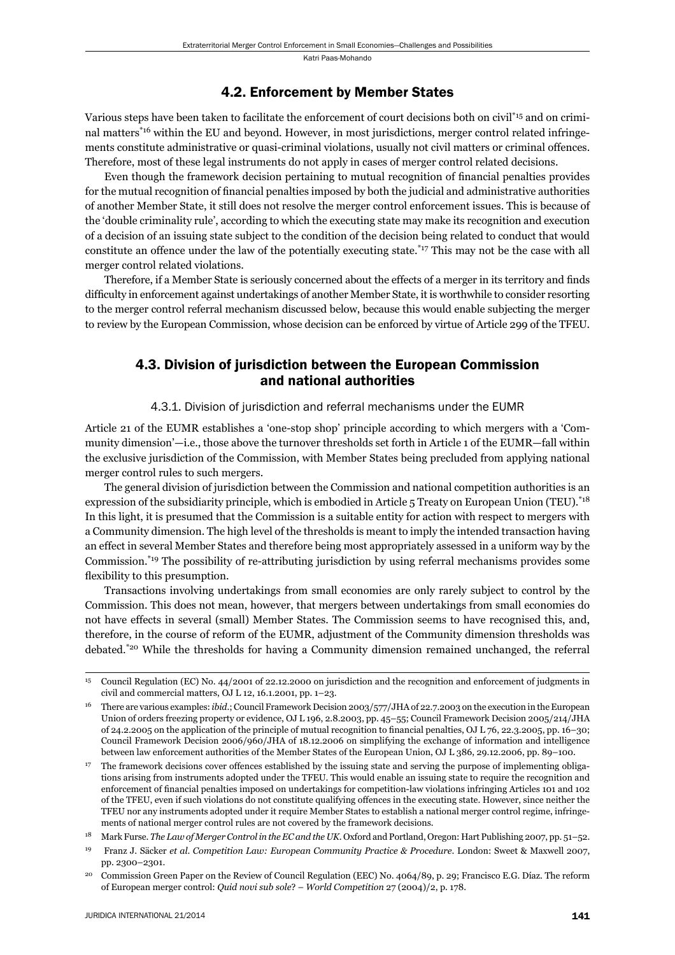### 4.2. Enforcement by Member States

Various steps have been taken to facilitate the enforcement of court decisions both on civil\*15 and on criminal matters\*16 within the EU and beyond. However, in most jurisdictions, merger control related infringements constitute administrative or quasi-criminal violations, usually not civil matters or criminal offences. Therefore, most of these legal instruments do not apply in cases of merger control related decisions.

Even though the framework decision pertaining to mutual recognition of financial penalties provides for the mutual recognition of financial penalties imposed by both the judicial and administrative authorities of another Member State, it still does not resolve the merger control enforcement issues. This is because of the 'double criminality rule', according to which the executing state may make its recognition and execution of a decision of an issuing state subject to the condition of the decision being related to conduct that would constitute an offence under the law of the potentially executing state.\*17 This may not be the case with all merger control related violations.

Therefore, if a Member State is seriously concerned about the effects of a merger in its territory and finds difficulty in enforcement against undertakings of another Member State, it is worthwhile to consider resorting to the merger control referral mechanism discussed below, because this would enable subjecting the merger to review by the European Commission, whose decision can be enforced by virtue of Article 299 of the TFEU.

## 4.3. Division of jurisdiction between the European Commission and national authorities

### 4.3.1. Division of jurisdiction and referral mechanisms under the EUMR

Article 21 of the EUMR establishes a 'one-stop shop' principle according to which mergers with a 'Community dimension'—i.e., those above the turnover thresholds set forth in Article 1 of the EUMR—fall within the exclusive jurisdiction of the Commission, with Member States being precluded from applying national merger control rules to such mergers.

The general division of jurisdiction between the Commission and national competition authorities is an expression of the subsidiarity principle, which is embodied in Article 5 Treaty on European Union (TEU).<sup>\*18</sup> In this light, it is presumed that the Commission is a suitable entity for action with respect to mergers with a Community dimension. The high level of the thresholds is meant to imply the intended transaction having an effect in several Member States and therefore being most appropriately assessed in a uniform way by the Commission.<sup>\*19</sup> The possibility of re-attributing jurisdiction by using referral mechanisms provides some flexibility to this presumption.

Transactions involving undertakings from small economies are only rarely subject to control by the Commission. This does not mean, however, that mergers between undertakings from small economies do not have effects in several (small) Member States. The Commission seems to have recognised this, and, therefore, in the course of reform of the EUMR, adjustment of the Community dimension thresholds was debated.\*20 While the thresholds for having a Community dimension remained unchanged, the referral

<sup>15</sup> Council Regulation (EC) No. 44/2001 of 22.12.2000 on jurisdiction and the recognition and enforcement of judgments in civil and commercial matters, OJ L 12, 16.1.2001, pp. 1–23.

<sup>16</sup> There are various examples: *ibid*.; Council Framework Decision 2003/577/JHA of 22.7.2003 on the execution in the European Union of orders freezing property or evidence, OJ L 196, 2.8.2003, pp. 45–55; Council Framework Decision 2005/214/JHA of 24.2.2005 on the application of the principle of mutual recognition to financial penalties, OJ L 76, 22.3.2005, pp. 16–30; Council Framework Decision 2006/960/JHA of 18.12.2006 on simplifying the exchange of information and intelligence between law enforcement authorities of the Member States of the European Union, OJ L 386, 29.12.2006, pp. 89–100.

<sup>17</sup> The framework decisions cover offences established by the issuing state and serving the purpose of implementing obligations arising from instruments adopted under the TFEU. This would enable an issuing state to require the recognition and enforcement of financial penalties imposed on undertakings for competition-law violations infringing Articles 101 and 102 of the TFEU, even if such violations do not constitute qualifying offences in the executing state. However, since neither the TFEU nor any instruments adopted under it require Member States to establish a national merger control regime, infringements of national merger control rules are not covered by the framework decisions.

<sup>18</sup> Mark Furse. *The Law of Merger Control in the EC and the UK*. Oxford and Portland, Oregon: Hart Publishing 2007, pp. 51–52.

<sup>19</sup> Franz J. Säcker *et al*. *Competition Law: European Community Practice & Procedure*. London: Sweet & Maxwell 2007, pp. 2300–2301.

<sup>&</sup>lt;sup>20</sup> Commission Green Paper on the Review of Council Regulation (EEC) No. 4064/89, p. 29; Francisco E.G. Díaz. The reform of European merger control: *Quid novi sub sole*? – *World Competition* 27 (2004)/2, p. 178.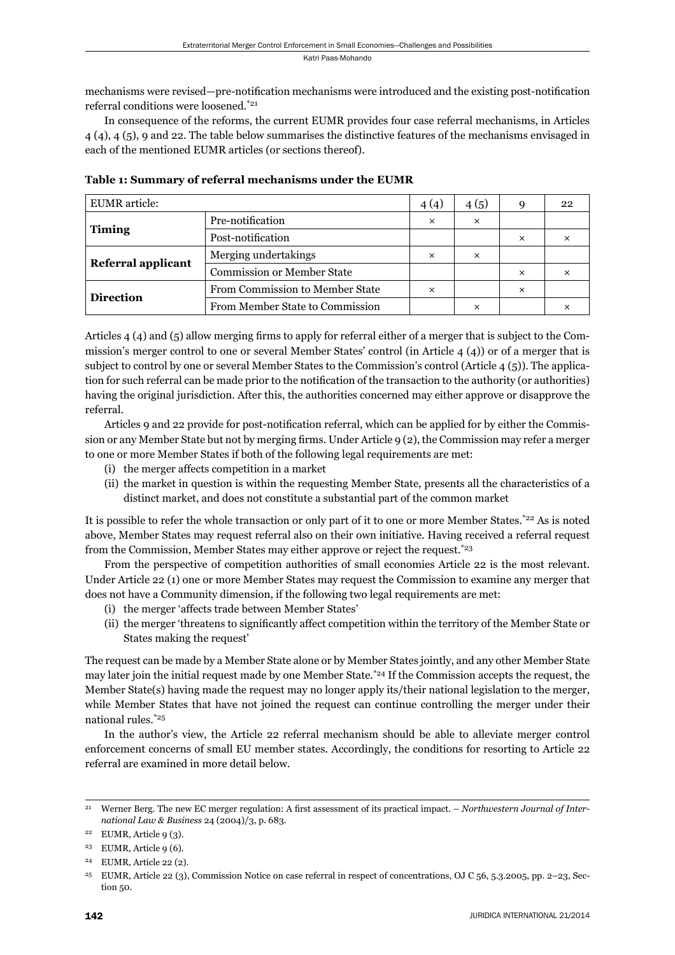mechanisms were revised—pre-notification mechanisms were introduced and the existing post-notification referral conditions were loosened.\*21

In consequence of the reforms, the current EUMR provides four case referral mechanisms, in Articles 4 (4), 4 (5), 9 and 22. The table below summarises the distinctive features of the mechanisms envisaged in each of the mentioned EUMR articles (or sections thereof).

| <b>EUMR</b> article: |                                        | 4(4)     | 4(5)     | 9        | 22       |
|----------------------|----------------------------------------|----------|----------|----------|----------|
| <b>Timing</b>        | Pre-notification                       | $\times$ | $\times$ |          |          |
|                      | Post-notification                      |          |          | $\times$ | $\times$ |
| Referral applicant   | Merging undertakings                   | ×        | ×        |          |          |
|                      | <b>Commission or Member State</b>      |          |          | ×        |          |
| <b>Direction</b>     | <b>From Commission to Member State</b> | ×        |          | ×        |          |
|                      | From Member State to Commission        |          | ×        |          |          |

**Table 1: Summary of referral mechanisms under the EUMR**

Articles  $4 \times (4)$  and  $(5)$  allow merging firms to apply for referral either of a merger that is subject to the Commission's merger control to one or several Member States' control (in Article 4 (4)) or of a merger that is subject to control by one or several Member States to the Commission's control (Article 4 (5)). The application for such referral can be made prior to the notification of the transaction to the authority (or authorities) having the original jurisdiction. After this, the authorities concerned may either approve or disapprove the referral.

Articles 9 and 22 provide for post-notification referral, which can be applied for by either the Commission or any Member State but not by merging firms. Under Article 9 (2), the Commission may refer a merger to one or more Member States if both of the following legal requirements are met:

- (i) the merger affects competition in a market
- (ii) the market in question is within the requesting Member State, presents all the characteristics of a distinct market, and does not constitute a substantial part of the common market

It is possible to refer the whole transaction or only part of it to one or more Member States.\*22 As is noted above, Member States may request referral also on their own initiative. Having received a referral request from the Commission, Member States may either approve or reject the request.\*23

From the perspective of competition authorities of small economies Article 22 is the most relevant. Under Article 22 (1) one or more Member States may request the Commission to examine any merger that does not have a Community dimension, if the following two legal requirements are met:

- (i) the merger 'affects trade between Member States'
- (ii) the merger 'threatens to significantly affect competition within the territory of the Member State or States making the request'

The request can be made by a Member State alone or by Member States jointly, and any other Member State may later join the initial request made by one Member State.\*24 If the Commission accepts the request, the Member State(s) having made the request may no longer apply its/their national legislation to the merger, while Member States that have not joined the request can continue controlling the merger under their national rules.\*25

In the author's view, the Article 22 referral mechanism should be able to alleviate merger control enforcement concerns of small EU member states. Accordingly, the conditions for resorting to Article 22 referral are examined in more detail below.

<sup>&</sup>lt;sup>21</sup> Werner Berg. The new EC merger regulation: A first assessment of its practical impact. – *Northwestern Journal of International Law & Business* 24 (2004)/3, p. 683.

<sup>&</sup>lt;sup>22</sup> EUMR, Article 9  $(3)$ .

<sup>&</sup>lt;sup>23</sup> EUMR, Article 9 (6).

<sup>24</sup> EUMR, Article 22 (2).

<sup>25</sup> EUMR, Article 22 (3), Commission Notice on case referral in respect of concentrations, OJ C 56, 5.3.2005, pp. 2–23, Section 50.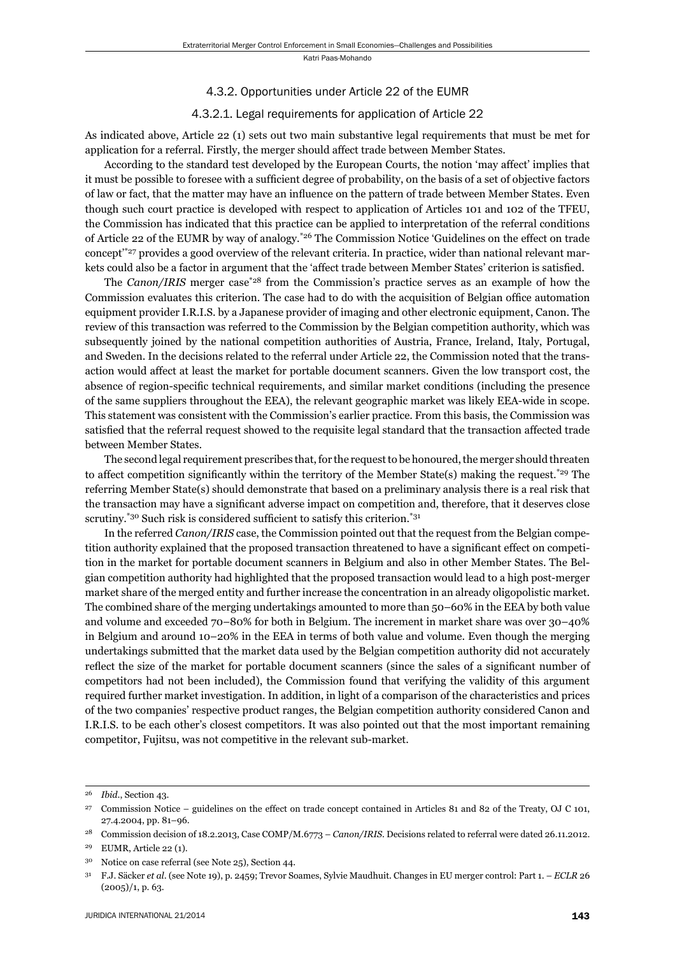#### 4.3.2. Opportunities under Article 22 of the EUMR

#### 4.3.2.1. Legal requirements for application of Article 22

As indicated above, Article 22 (1) sets out two main substantive legal requirements that must be met for application for a referral. Firstly, the merger should affect trade between Member States.

According to the standard test developed by the European Courts, the notion 'may affect' implies that it must be possible to foresee with a sufficient degree of probability, on the basis of a set of objective factors of law or fact, that the matter may have an influence on the pattern of trade between Member States. Even though such court practice is developed with respect to application of Articles 101 and 102 of the TFEU, the Commission has indicated that this practice can be applied to interpretation of the referral conditions of Article 22 of the EUMR by way of analogy.\*26 The Commission Notice 'Guidelines on the effect on trade concept'\*27 provides a good overview of the relevant criteria. In practice, wider than national relevant markets could also be a factor in argument that the 'affect trade between Member States' criterion is satisfied.

The *Canon/IRIS* merger case<sup>\*28</sup> from the Commission's practice serves as an example of how the Commission evaluates this criterion. The case had to do with the acquisition of Belgian office automation equipment provider I.R.I.S. by a Japanese provider of imaging and other electronic equipment, Canon. The review of this transaction was referred to the Commission by the Belgian competition authority, which was subsequently joined by the national competition authorities of Austria, France, Ireland, Italy, Portugal, and Sweden. In the decisions related to the referral under Article 22, the Commission noted that the transaction would affect at least the market for portable document scanners. Given the low transport cost, the absence of region-specifi c technical requirements, and similar market conditions (including the presence of the same suppliers throughout the EEA), the relevant geographic market was likely EEA-wide in scope. This statement was consistent with the Commission's earlier practice. From this basis, the Commission was satisfied that the referral request showed to the requisite legal standard that the transaction affected trade between Member States.

The second legal requirement prescribes that, for the request to be honoured, the merger should threaten to affect competition significantly within the territory of the Member State(s) making the request.<sup>\*29</sup> The referring Member State(s) should demonstrate that based on a preliminary analysis there is a real risk that the transaction may have a significant adverse impact on competition and, therefore, that it deserves close scrutiny.<sup> $*30$ </sup> Such risk is considered sufficient to satisfy this criterion. $*31$ 

In the referred *Canon/IRIS* case, the Commission pointed out that the request from the Belgian competition authority explained that the proposed transaction threatened to have a significant effect on competition in the market for portable document scanners in Belgium and also in other Member States. The Belgian competition authority had highlighted that the proposed transaction would lead to a high post-merger market share of the merged entity and further increase the concentration in an already oligopolistic market. The combined share of the merging undertakings amounted to more than 50–60% in the EEA by both value and volume and exceeded 70–80% for both in Belgium. The increment in market share was over 30–40% in Belgium and around 10–20% in the EEA in terms of both value and volume. Even though the merging undertakings submitted that the market data used by the Belgian competition authority did not accurately reflect the size of the market for portable document scanners (since the sales of a significant number of competitors had not been included), the Commission found that verifying the validity of this argument required further market investigation. In addition, in light of a comparison of the characteristics and prices of the two companies' respective product ranges, the Belgian competition authority considered Canon and I.R.I.S. to be each other's closest competitors. It was also pointed out that the most important remaining competitor, Fujitsu, was not competitive in the relevant sub-market.

<sup>26</sup> *Ibid*., Section 43.

<sup>27</sup> Commission Notice – guidelines on the effect on trade concept contained in Articles 81 and 82 of the Treaty, OJ C 101, 27.4.2004, pp. 81–96.

<sup>28</sup> Commission decision of 18.2.2013, Case COMP/M.6773 – *Canon/IRIS*. Decisions related to referral were dated 26.11.2012.

<sup>29</sup> EUMR, Article 22 (1).

<sup>30</sup> Notice on case referral (see Note 25), Section 44.

<sup>31</sup> F.J. Säcker *et al*. (see Note 19), p. 2459; Trevor Soames, Sylvie Maudhuit. Changes in EU merger control: Part 1. – *ECLR* 26  $(2005)/1$ , p. 63.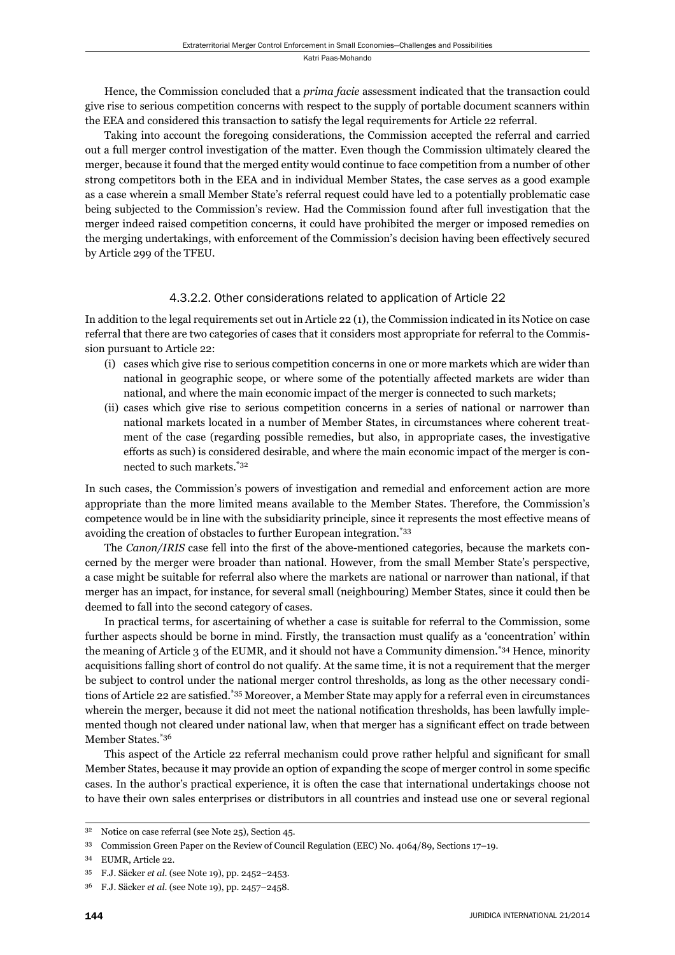Hence, the Commission concluded that a *prima facie* assessment indicated that the transaction could give rise to serious competition concerns with respect to the supply of portable document scanners within the EEA and considered this transaction to satisfy the legal requirements for Article 22 referral.

Taking into account the foregoing considerations, the Commission accepted the referral and carried out a full merger control investigation of the matter. Even though the Commission ultimately cleared the merger, because it found that the merged entity would continue to face competition from a number of other strong competitors both in the EEA and in individual Member States, the case serves as a good example as a case wherein a small Member State's referral request could have led to a potentially problematic case being subjected to the Commission's review. Had the Commission found after full investigation that the merger indeed raised competition concerns, it could have prohibited the merger or imposed remedies on the merging undertakings, with enforcement of the Commission's decision having been effectively secured by Article 299 of the TFEU.

### 4.3.2.2. Other considerations related to application of Article 22

In addition to the legal requirements set out in Article 22 (1), the Commission indicated in its Notice on case referral that there are two categories of cases that it considers most appropriate for referral to the Commission pursuant to Article 22:

- (i) cases which give rise to serious competition concerns in one or more markets which are wider than national in geographic scope, or where some of the potentially affected markets are wider than national, and where the main economic impact of the merger is connected to such markets;
- (ii) cases which give rise to serious competition concerns in a series of national or narrower than national markets located in a number of Member States, in circumstances where coherent treatment of the case (regarding possible remedies, but also, in appropriate cases, the investigative efforts as such) is considered desirable, and where the main economic impact of the merger is connected to such markets.\*32

In such cases, the Commission's powers of investigation and remedial and enforcement action are more appropriate than the more limited means available to the Member States. Therefore, the Commission's competence would be in line with the subsidiarity principle, since it represents the most effective means of avoiding the creation of obstacles to further European integration.\*33

The *Canon/IRIS* case fell into the first of the above-mentioned categories, because the markets concerned by the merger were broader than national. However, from the small Member State's perspective, a case might be suitable for referral also where the markets are national or narrower than national, if that merger has an impact, for instance, for several small (neighbouring) Member States, since it could then be deemed to fall into the second category of cases.

In practical terms, for ascertaining of whether a case is suitable for referral to the Commission, some further aspects should be borne in mind. Firstly, the transaction must qualify as a 'concentration' within the meaning of Article 3 of the EUMR, and it should not have a Community dimension.\*34 Hence, minority acquisitions falling short of control do not qualify. At the same time, it is not a requirement that the merger be subject to control under the national merger control thresholds, as long as the other necessary conditions of Article 22 are satisfied.<sup>\*35</sup> Moreover, a Member State may apply for a referral even in circumstances wherein the merger, because it did not meet the national notification thresholds, has been lawfully implemented though not cleared under national law, when that merger has a significant effect on trade between Member States.\*36

This aspect of the Article 22 referral mechanism could prove rather helpful and significant for small Member States, because it may provide an option of expanding the scope of merger control in some specific cases. In the author's practical experience, it is often the case that international undertakings choose not to have their own sales enterprises or distributors in all countries and instead use one or several regional

<sup>32</sup> Notice on case referral (see Note 25), Section 45.

<sup>33</sup> Commission Green Paper on the Review of Council Regulation (EEC) No. 4064/89, Sections 17–19.

<sup>34</sup> EUMR, Article 22.

<sup>35</sup> F.J. Säcker *et al*. (see Note 19), pp. 2452–2453.

<sup>36</sup> F.J. Säcker *et al*. (see Note 19), pp. 2457–2458.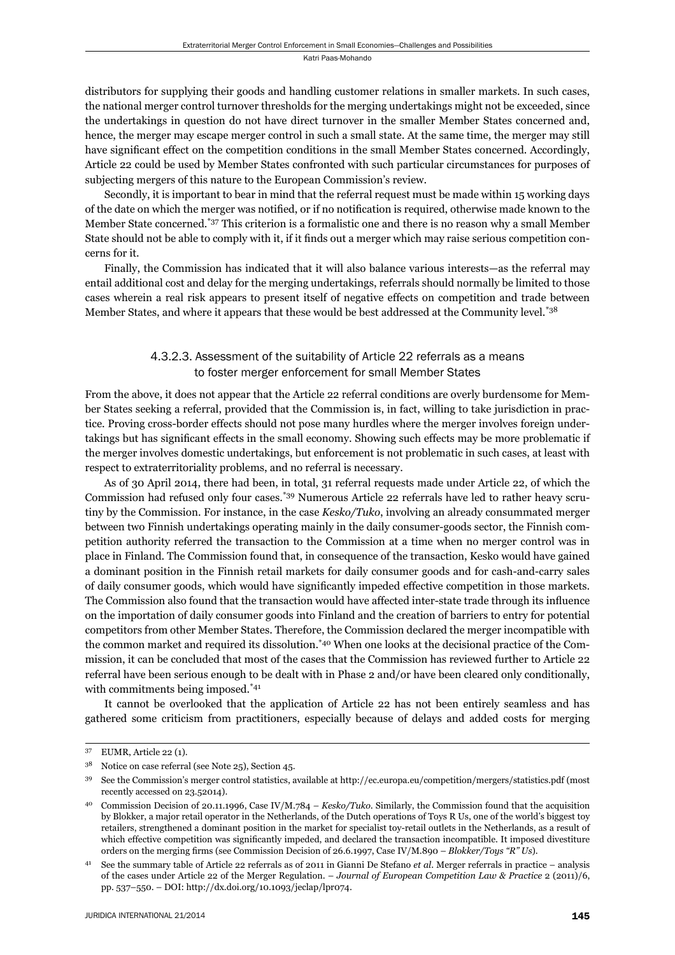distributors for supplying their goods and handling customer relations in smaller markets. In such cases, the national merger control turnover thresholds for the merging undertakings might not be exceeded, since the undertakings in question do not have direct turnover in the smaller Member States concerned and, hence, the merger may escape merger control in such a small state. At the same time, the merger may still have significant effect on the competition conditions in the small Member States concerned. Accordingly, Article 22 could be used by Member States confronted with such particular circumstances for purposes of subjecting mergers of this nature to the European Commission's review.

Secondly, it is important to bear in mind that the referral request must be made within 15 working days of the date on which the merger was notified, or if no notification is required, otherwise made known to the Member State concerned.\*37 This criterion is a formalistic one and there is no reason why a small Member State should not be able to comply with it, if it finds out a merger which may raise serious competition concerns for it.

Finally, the Commission has indicated that it will also balance various interests—as the referral may entail additional cost and delay for the merging undertakings, referrals should normally be limited to those cases wherein a real risk appears to present itself of negative effects on competition and trade between Member States, and where it appears that these would be best addressed at the Community level.<sup>\*38</sup>

## 4.3.2.3. Assessment of the suitability of Article 22 referrals as a means to foster merger enforcement for small Member States

From the above, it does not appear that the Article 22 referral conditions are overly burdensome for Member States seeking a referral, provided that the Commission is, in fact, willing to take jurisdiction in practice. Proving cross-border effects should not pose many hurdles where the merger involves foreign undertakings but has significant effects in the small economy. Showing such effects may be more problematic if the merger involves domestic undertakings, but enforcement is not problematic in such cases, at least with respect to extraterritoriality problems, and no referral is necessary.

As of 30 April 2014, there had been, in total, 31 referral requests made under Article 22, of which the Commission had refused only four cases.\*39 Numerous Article 22 referrals have led to rather heavy scrutiny by the Commission. For instance, in the case *Kesko/Tuko*, involving an already consummated merger between two Finnish undertakings operating mainly in the daily consumer-goods sector, the Finnish competition authority referred the transaction to the Commission at a time when no merger control was in place in Finland. The Commission found that, in consequence of the transaction, Kesko would have gained a dominant position in the Finnish retail markets for daily consumer goods and for cash-and-carry sales of daily consumer goods, which would have significantly impeded effective competition in those markets. The Commission also found that the transaction would have affected inter-state trade through its influence on the importation of daily consumer goods into Finland and the creation of barriers to entry for potential competitors from other Member States. Therefore, the Commission declared the merger incompatible with the common market and required its dissolution.\*40 When one looks at the decisional practice of the Commission, it can be concluded that most of the cases that the Commission has reviewed further to Article 22 referral have been serious enough to be dealt with in Phase 2 and/or have been cleared only conditionally, with commitments being imposed.<sup>\*41</sup>

It cannot be overlooked that the application of Article 22 has not been entirely seamless and has gathered some criticism from practitioners, especially because of delays and added costs for merging

<sup>37</sup> EUMR, Article 22 (1).

<sup>38</sup> Notice on case referral (see Note 25), Section 45.

<sup>39</sup> See the Commission's merger control statistics, available at http://ec.europa.eu/competition/mergers/statistics.pdf (most recently accessed on 23.52014).

<sup>40</sup> Commission Decision of 20.11.1996, Case IV/M.784 *– Kesko/Tuko*. Similarly, the Commission found that the acquisition by Blokker, a major retail operator in the Netherlands, of the Dutch operations of Toys R Us, one of the world's biggest toy retailers, strengthened a dominant position in the market for specialist toy-retail outlets in the Netherlands, as a result of which effective competition was significantly impeded, and declared the transaction incompatible. It imposed divestiture orders on the merging firms (see Commission Decision of 26.6.1997, Case IV/M.890 – *Blokker/Toys* "R" Us).

<sup>41</sup> See the summary table of Article 22 referrals as of 2011 in Gianni De Stefano *et al*. Merger referrals in practice – analysis of the cases under Article 22 of the Merger Regulation. – *Journal of European Competition Law & Practice* 2 (2011)/6, pp. 537–550. – DOI: http://dx.doi.org/10.1093/jeclap/lpr074.